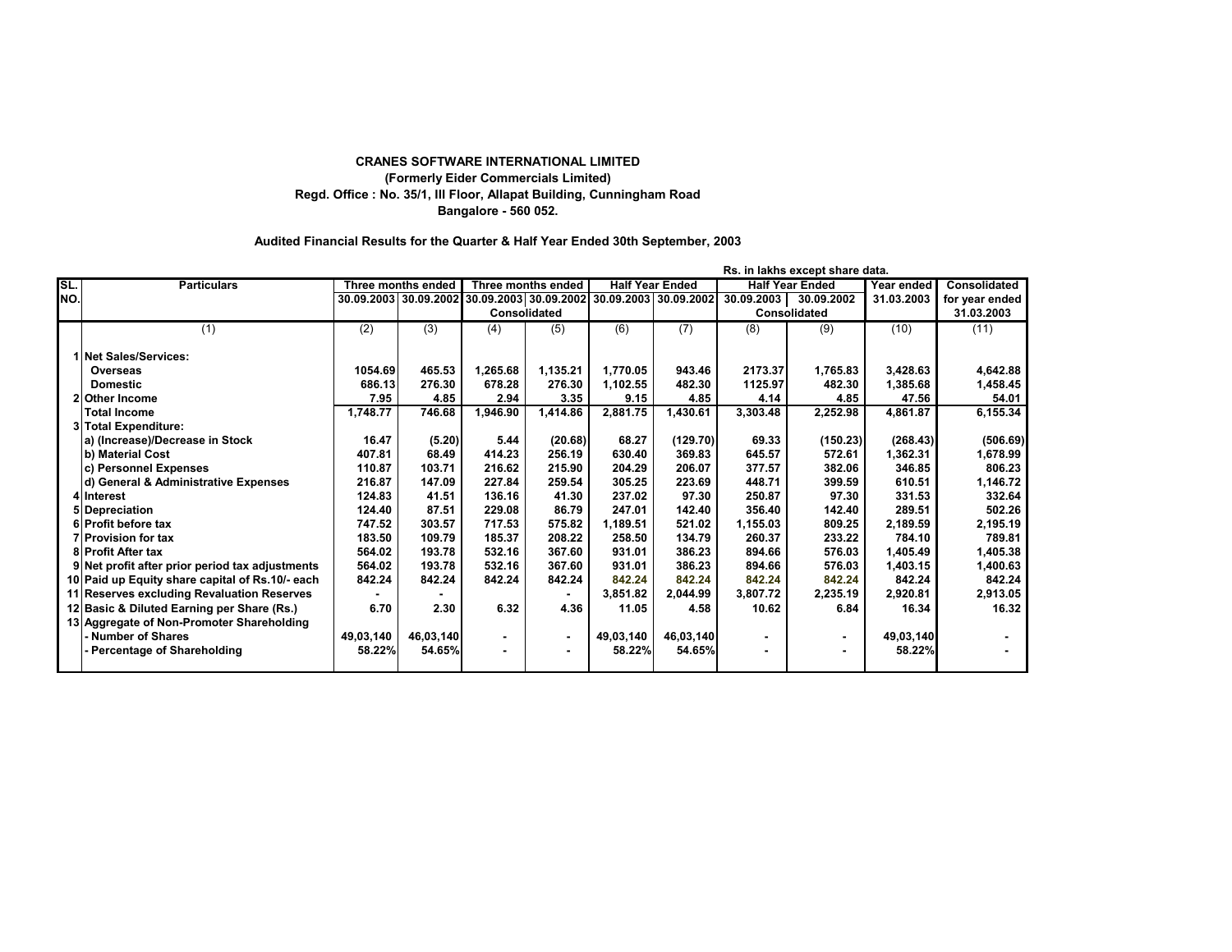## **CRANES SOFTWARE INTERNATIONAL LIMITED (Formerly Eider Commercials Limited) Regd. Office : No. 35/1, III Floor, Allapat Building, Cunningham Road Bangalore - 560 052.**

## **Audited Financial Results for the Quarter & Half Year Ended 30th September, 2003**

|     |                                                 |            |                    |                                                        |                |                        |           |                        | Rs. in lakhs except share data. |            |                |
|-----|-------------------------------------------------|------------|--------------------|--------------------------------------------------------|----------------|------------------------|-----------|------------------------|---------------------------------|------------|----------------|
| SL. | <b>Particulars</b>                              |            | Three months ended | Three months ended                                     |                | <b>Half Year Ended</b> |           | <b>Half Year Ended</b> |                                 | Year ended | Consolidated   |
| NO. |                                                 | 30.09.2003 |                    | 30.09.2002 30.09.2003 30.09.2002 30.09.2003 30.09.2002 |                |                        |           | 30.09.2003             | 30.09.2002                      | 31.03.2003 | for year ended |
|     |                                                 |            |                    | Consolidated                                           |                |                        |           |                        | Consolidated                    |            | 31.03.2003     |
|     | (1)                                             | (2)        | (3)                | (4)                                                    | (5)            | (6)                    | (7)       | (8)                    | (9)                             | (10)       | (11)           |
|     | 1 Net Sales/Services:                           |            |                    |                                                        |                |                        |           |                        |                                 |            |                |
|     | Overseas                                        | 1054.69    | 465.53             | 1.265.68                                               | 1,135.21       | 1.770.05               | 943.46    | 2173.37                | 1,765.83                        | 3,428.63   | 4,642.88       |
|     | <b>Domestic</b>                                 | 686.13     | 276.30             | 678.28                                                 | 276.30         | 1,102.55               | 482.30    | 1125.97                | 482.30                          | 1,385.68   | 1,458.45       |
|     | 2 Other Income                                  | 7.95       | 4.85               | 2.94                                                   | 3.35           | 9.15                   | 4.85      | 4.14                   | 4.85                            | 47.56      | 54.01          |
|     | Total Income                                    | 1,748.77   | 746.68             | 1.946.90                                               | 1.414.86       | 2.881.75               | 1,430.61  | 3,303.48               | 2,252.98                        | 4,861.87   | 6,155.34       |
|     | 3 Total Expenditure:                            |            |                    |                                                        |                |                        |           |                        |                                 |            |                |
|     | a) (Increase)/Decrease in Stock                 | 16.47      | (5.20)             | 5.44                                                   | (20.68)        | 68.27                  | (129.70)  | 69.33                  | (150.23)                        | (268.43)   | (506.69)       |
|     | b) Material Cost                                | 407.81     | 68.49              | 414.23                                                 | 256.19         | 630.40                 | 369.83    | 645.57                 | 572.61                          | 1,362.31   | 1,678.99       |
|     | c) Personnel Expenses                           | 110.87     | 103.71             | 216.62                                                 | 215.90         | 204.29                 | 206.07    | 377.57                 | 382.06                          | 346.85     | 806.23         |
|     | d) General & Administrative Expenses            | 216.87     | 147.09             | 227.84                                                 | 259.54         | 305.25                 | 223.69    | 448.71                 | 399.59                          | 610.51     | 1,146.72       |
|     | 4 Interest                                      | 124.83     | 41.51              | 136.16                                                 | 41.30          | 237.02                 | 97.30     | 250.87                 | 97.30                           | 331.53     | 332.64         |
|     | 5 Depreciation                                  | 124.40     | 87.51              | 229.08                                                 | 86.79          | 247.01                 | 142.40    | 356.40                 | 142.40                          | 289.51     | 502.26         |
|     | 6 Profit before tax                             | 747.52     | 303.57             | 717.53                                                 | 575.82         | 1.189.51               | 521.02    | 1,155.03               | 809.25                          | 2,189.59   | 2,195.19       |
|     | <b>7 Provision for tax</b>                      | 183.50     | 109.79             | 185.37                                                 | 208.22         | 258.50                 | 134.79    | 260.37                 | 233.22                          | 784.10     | 789.81         |
|     | 8 Profit After tax                              | 564.02     | 193.78             | 532.16                                                 | 367.60         | 931.01                 | 386.23    | 894.66                 | 576.03                          | 1,405.49   | 1,405.38       |
|     | 9 Net profit after prior period tax adjustments | 564.02     | 193.78             | 532.16                                                 | 367.60         | 931.01                 | 386.23    | 894.66                 | 576.03                          | 1,403.15   | 1,400.63       |
|     | 10 Paid up Equity share capital of Rs.10/- each | 842.24     | 842.24             | 842.24                                                 | 842.24         | 842.24                 | 842.24    | 842.24                 | 842.24                          | 842.24     | 842.24         |
|     | 11 Reserves excluding Revaluation Reserves      |            |                    |                                                        |                | 3,851.82               | 2.044.99  | 3,807.72               | 2,235.19                        | 2,920.81   | 2,913.05       |
|     | 12 Basic & Diluted Earning per Share (Rs.)      | 6.70       | 2.30               | 6.32                                                   | 4.36           | 11.05                  | 4.58      | 10.62                  | 6.84                            | 16.34      | 16.32          |
|     | 13 Aggregate of Non-Promoter Shareholding       |            |                    |                                                        |                |                        |           |                        |                                 |            |                |
|     | <b>Number of Shares</b>                         | 49.03.140  | 46,03,140          | ٠                                                      | $\blacksquare$ | 49,03,140              | 46.03.140 | $\blacksquare$         | $\blacksquare$                  | 49,03,140  |                |
|     | Percentage of Shareholding                      | 58.22%     | 54.65%             |                                                        |                | 58.22%                 | 54.65%    |                        |                                 | 58.22%     |                |
|     |                                                 |            |                    |                                                        |                |                        |           |                        |                                 |            |                |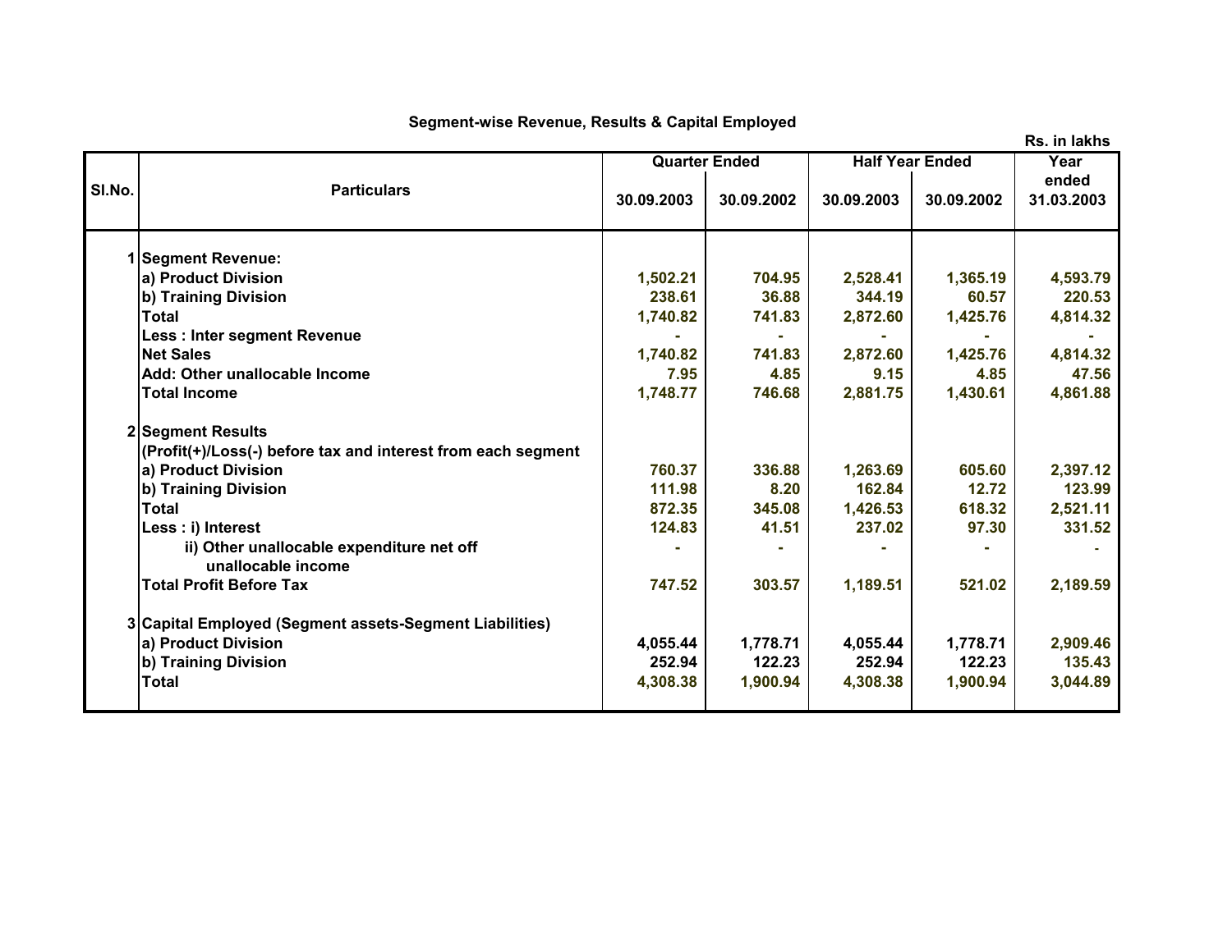## **Segment-wise Revenue, Results & Capital Employed**

**Year ended 30.09.2003 30.09.2002 30.09.2003 30.09.2002 31.03.2003 1 Segment Revenue: a) Product Division 1,502.21 704.95 2,528.41 1,365.19 4,593.79 b) Training Division 238.61 36.88 344.19 60.57 220.53 Total 1,740.82 741.83 2,872.60 1,425.76 4,814.32 Less : Inter segment Revenue - - - - - Net Sales 1,740.82 741.83 2,872.60 1,425.76 4,814.32 Add: Other unallocable Income 7.95 4.85 9.15 4.85 47.56 Total Income 1,748.77 746.68 2,881.75 1,430.61 4,861.88 2 Segment Results (Profit(+)/Loss(-) before tax and interest from each segment a) Product Division 760.37 336.88 1,263.69 605.60 2,397.12 b) Training Division 111.98 8.20 162.84 12.72 123.99 Total 872.35 345.08 1,426.53 618.32 2,521.11 Less : i) Interest 124.83 41.51 237.02 97.30 331.52 ii) Other unallocable expenditure net off**  $\qquad \qquad$  $\qquad$  $\qquad$  $\qquad$  $\qquad$  $\qquad$  $\qquad$  $\qquad$  $\qquad$  $\qquad$  $\qquad$  $\qquad$  $\qquad$  $\qquad$  $\qquad$  $\qquad$  $\qquad$  $\qquad$  $\qquad$  $\qquad$  $\qquad$  $\qquad$  $\qquad$  $\qquad$  $\qquad$  $\qquad$  $\qquad$  $\qquad$  $\qquad$  **\ unallocable income Total Profit Before Tax 747.52 303.57 1,189.51 521.02 2,189.59 3 Capital Employed (Segment assets-Segment Liabilities) a) Product Division 4,055.44 1,778.71 4,055.44 1,778.71 2,909.46 b) Training Division 252.94 122.23 252.94 122.23 135.43 Total 4,308.38 1,900.94 4,308.38 1,900.94 3,044.89 Sl.No. Particulars Quarter Ended Half Year Ended** 

**Rs. in lakhs**